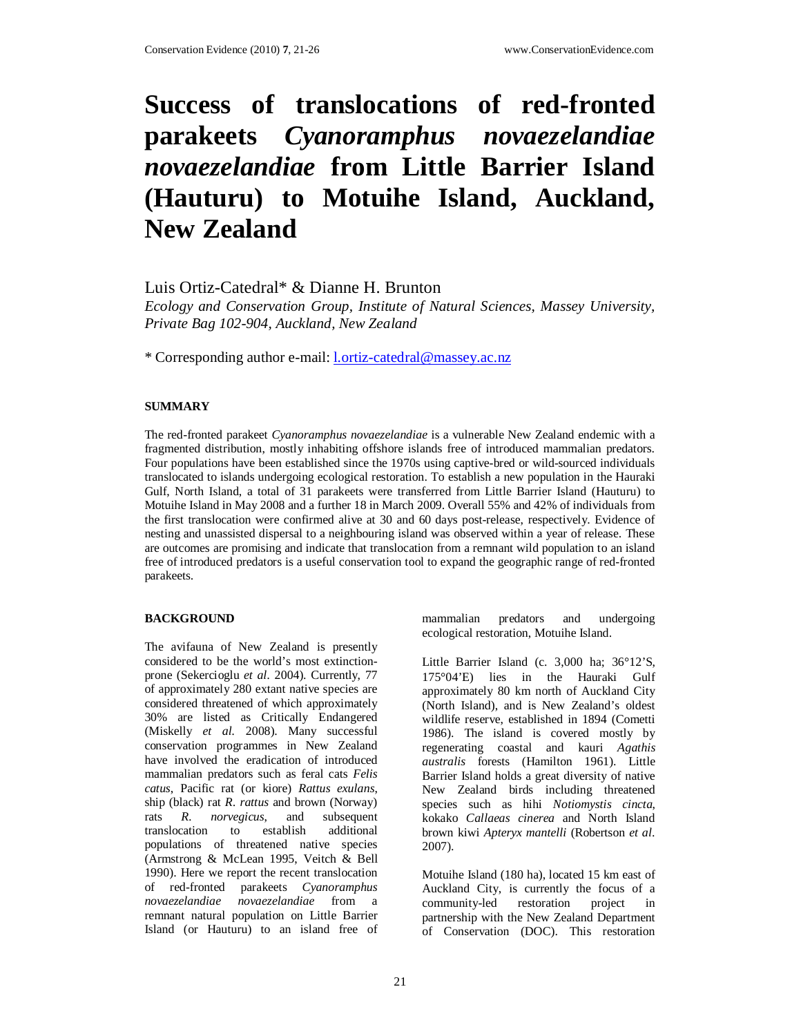# **Success of translocations of red-fronted parakeets** *Cyanoramphus novaezelandiae novaezelandiae* **from Little Barrier Island (Hauturu) to Motuihe Island, Auckland, New Zealand**

Luis Ortiz-Catedral\* & Dianne H. Brunton

*Ecology and Conservation Group, Institute of Natural Sciences, Massey University, Private Bag 102-904, Auckland, New Zealand* 

\* Corresponding author e-mail: l.ortiz-catedral@massey.ac.nz

#### **SUMMARY**

The red-fronted parakeet *Cyanoramphus novaezelandiae* is a vulnerable New Zealand endemic with a fragmented distribution, mostly inhabiting offshore islands free of introduced mammalian predators. Four populations have been established since the 1970s using captive-bred or wild-sourced individuals translocated to islands undergoing ecological restoration. To establish a new population in the Hauraki Gulf, North Island, a total of 31 parakeets were transferred from Little Barrier Island (Hauturu) to Motuihe Island in May 2008 and a further 18 in March 2009. Overall 55% and 42% of individuals from the first translocation were confirmed alive at 30 and 60 days post-release, respectively. Evidence of nesting and unassisted dispersal to a neighbouring island was observed within a year of release. These are outcomes are promising and indicate that translocation from a remnant wild population to an island free of introduced predators is a useful conservation tool to expand the geographic range of red-fronted parakeets.

#### **BACKGROUND**

The avifauna of New Zealand is presently considered to be the world's most extinctionprone (Sekercioglu *et al.* 2004). Currently, 77 of approximately 280 extant native species are considered threatened of which approximately 30% are listed as Critically Endangered (Miskelly *et al.* 2008). Many successful conservation programmes in New Zealand have involved the eradication of introduced mammalian predators such as feral cats *Felis catus*, Pacific rat (or kiore) *Rattus exulans*, ship (black) rat *R. rattus* and brown (Norway) rats *R. norvegicus*, and subsequent translocation to establish populations of threatened native species (Armstrong & McLean 1995, Veitch & Bell 1990). Here we report the recent translocation of red-fronted parakeets *Cyanoramphus novaezelandiae novaezelandiae* from a remnant natural population on Little Barrier Island (or Hauturu) to an island free of mammalian predators and undergoing ecological restoration, Motuihe Island.

Little Barrier Island (c. 3,000 ha; 36°12'S, 175°04'E) lies in the Hauraki Gulf approximately 80 km north of Auckland City (North Island), and is New Zealand's oldest wildlife reserve, established in 1894 (Cometti 1986). The island is covered mostly by regenerating coastal and kauri *Agathis australis* forests (Hamilton 1961). Little Barrier Island holds a great diversity of native New Zealand birds including threatened species such as hihi *Notiomystis cincta*, kokako *Callaeas cinerea* and North Island brown kiwi *Apteryx mantelli* (Robertson *et al*. 2007).

Motuihe Island (180 ha), located 15 km east of Auckland City, is currently the focus of a community-led restoration project in partnership with the New Zealand Department of Conservation (DOC). This restoration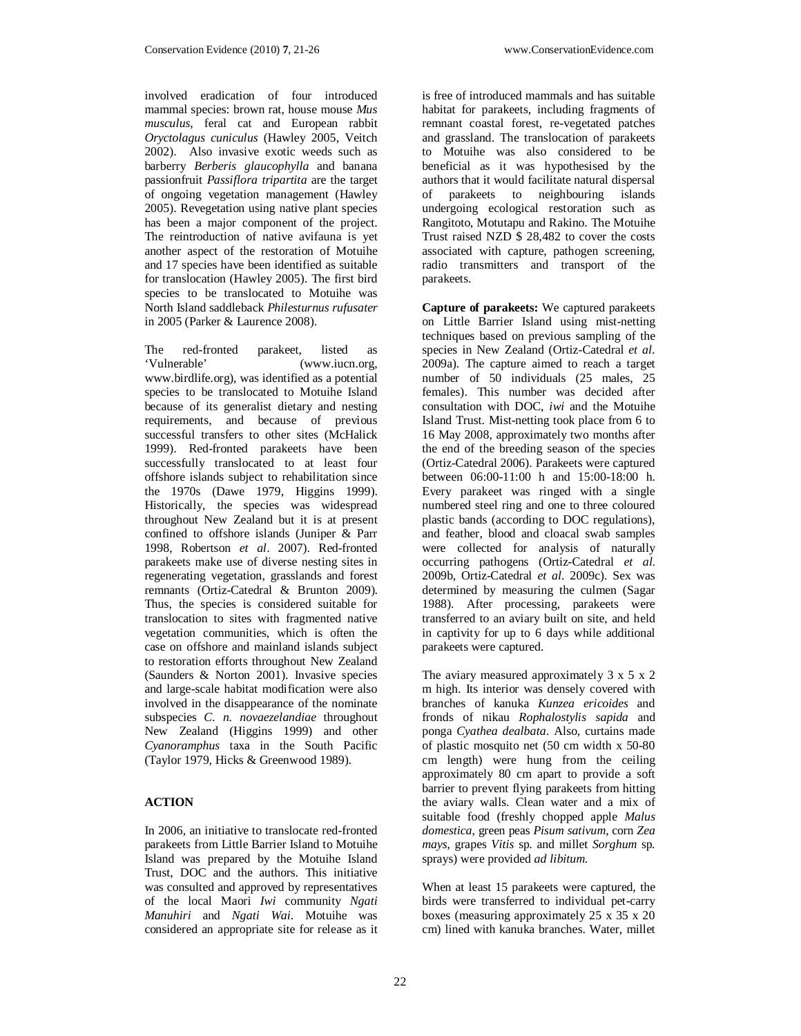involved eradication of four introduced mammal species: brown rat, house mouse *Mus musculus*, feral cat and European rabbit *Oryctolagus cuniculus* (Hawley 2005, Veitch 2002). Also invasive exotic weeds such as barberry *Berberis glaucophylla* and banana passionfruit *Passiflora tripartita* are the target of ongoing vegetation management (Hawley 2005). Revegetation using native plant species has been a major component of the project. The reintroduction of native avifauna is yet another aspect of the restoration of Motuihe and 17 species have been identified as suitable for translocation (Hawley 2005). The first bird species to be translocated to Motuihe was North Island saddleback *Philesturnus rufusater* in 2005 (Parker & Laurence 2008).

The red-fronted parakeet, listed as 'Vulnerable' (www.iucn.org, www.birdlife.org), was identified as a potential species to be translocated to Motuihe Island because of its generalist dietary and nesting requirements, and because of previous successful transfers to other sites (McHalick 1999). Red-fronted parakeets have been successfully translocated to at least four offshore islands subject to rehabilitation since the 1970s (Dawe 1979, Higgins 1999). Historically, the species was widespread throughout New Zealand but it is at present confined to offshore islands (Juniper & Parr 1998, Robertson *et al*. 2007). Red-fronted parakeets make use of diverse nesting sites in regenerating vegetation, grasslands and forest remnants (Ortiz-Catedral & Brunton 2009). Thus, the species is considered suitable for translocation to sites with fragmented native vegetation communities, which is often the case on offshore and mainland islands subject to restoration efforts throughout New Zealand (Saunders & Norton 2001). Invasive species and large-scale habitat modification were also involved in the disappearance of the nominate subspecies *C. n. novaezelandiae* throughout New Zealand (Higgins 1999) and other *Cyanoramphus* taxa in the South Pacific (Taylor 1979, Hicks & Greenwood 1989).

## **ACTION**

In 2006, an initiative to translocate red-fronted parakeets from Little Barrier Island to Motuihe Island was prepared by the Motuihe Island Trust, DOC and the authors. This initiative was consulted and approved by representatives of the local Maori *Iwi* community *Ngati Manuhiri* and *Ngati Wai*. Motuihe was considered an appropriate site for release as it is free of introduced mammals and has suitable habitat for parakeets, including fragments of remnant coastal forest, re-vegetated patches and grassland. The translocation of parakeets to Motuihe was also considered to be beneficial as it was hypothesised by the authors that it would facilitate natural dispersal of parakeets to neighbouring islands undergoing ecological restoration such as Rangitoto, Motutapu and Rakino. The Motuihe Trust raised NZD \$ 28,482 to cover the costs associated with capture, pathogen screening, radio transmitters and transport of the parakeets.

**Capture of parakeets:** We captured parakeets on Little Barrier Island using mist-netting techniques based on previous sampling of the species in New Zealand (Ortiz-Catedral *et al*. 2009a). The capture aimed to reach a target number of 50 individuals (25 males, 25 females). This number was decided after consultation with DOC, *iwi* and the Motuihe Island Trust. Mist-netting took place from 6 to 16 May 2008, approximately two months after the end of the breeding season of the species (Ortiz-Catedral 2006). Parakeets were captured between 06:00-11:00 h and 15:00-18:00 h. Every parakeet was ringed with a single numbered steel ring and one to three coloured plastic bands (according to DOC regulations), and feather, blood and cloacal swab samples were collected for analysis of naturally occurring pathogens (Ortiz-Catedral *et al*. 2009b, Ortiz-Catedral *et al*. 2009c). Sex was determined by measuring the culmen (Sagar 1988). After processing, parakeets were transferred to an aviary built on site, and held in captivity for up to 6 days while additional parakeets were captured.

The aviary measured approximately 3 x 5 x 2 m high. Its interior was densely covered with branches of kanuka *Kunzea ericoides* and fronds of nikau *Rophalostylis sapida* and ponga *Cyathea dealbata*. Also, curtains made of plastic mosquito net (50 cm width x 50-80 cm length) were hung from the ceiling approximately 80 cm apart to provide a soft barrier to prevent flying parakeets from hitting the aviary walls. Clean water and a mix of suitable food (freshly chopped apple *Malus domestica*, green peas *Pisum sativum*, corn *Zea mays*, grapes *Vitis* sp. and millet *Sorghum* sp. sprays) were provided *ad libitum*.

When at least 15 parakeets were captured, the birds were transferred to individual pet-carry boxes (measuring approximately 25 x 35 x 20 cm) lined with kanuka branches. Water, millet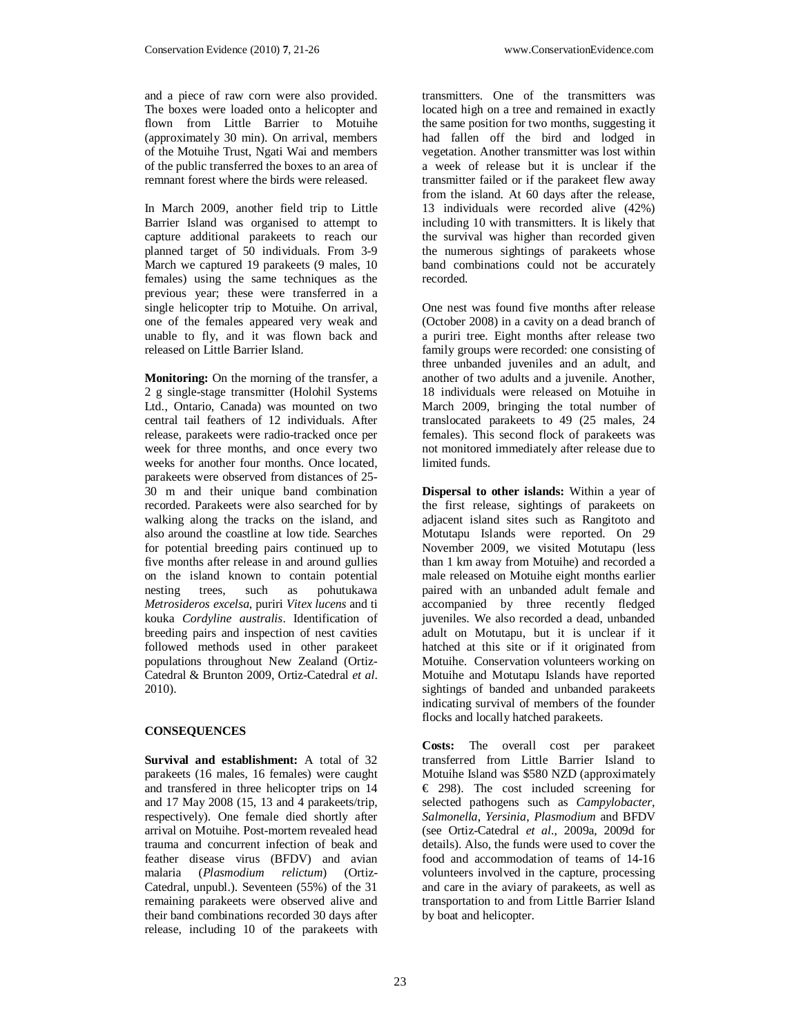and a piece of raw corn were also provided. The boxes were loaded onto a helicopter and flown from Little Barrier to Motuihe (approximately 30 min). On arrival, members of the Motuihe Trust, Ngati Wai and members of the public transferred the boxes to an area of remnant forest where the birds were released.

In March 2009, another field trip to Little Barrier Island was organised to attempt to capture additional parakeets to reach our planned target of 50 individuals. From 3-9 March we captured 19 parakeets (9 males, 10 females) using the same techniques as the previous year; these were transferred in a single helicopter trip to Motuihe. On arrival, one of the females appeared very weak and unable to fly, and it was flown back and released on Little Barrier Island.

**Monitoring:** On the morning of the transfer, a 2 g single-stage transmitter (Holohil Systems Ltd., Ontario, Canada) was mounted on two central tail feathers of 12 individuals. After release, parakeets were radio-tracked once per week for three months, and once every two weeks for another four months. Once located, parakeets were observed from distances of 25- 30 m and their unique band combination recorded. Parakeets were also searched for by walking along the tracks on the island, and also around the coastline at low tide. Searches for potential breeding pairs continued up to five months after release in and around gullies on the island known to contain potential nesting trees, such as pohutukawa *Metrosideros excelsa*, puriri *Vitex lucens* and ti kouka *Cordyline australis*. Identification of breeding pairs and inspection of nest cavities followed methods used in other parakeet populations throughout New Zealand (Ortiz-Catedral & Brunton 2009, Ortiz-Catedral *et al*. 2010).

## **CONSEQUENCES**

**Survival and establishment:** A total of 32 parakeets (16 males, 16 females) were caught and transfered in three helicopter trips on 14 and 17 May 2008 (15, 13 and 4 parakeets/trip, respectively). One female died shortly after arrival on Motuihe. Post-mortem revealed head trauma and concurrent infection of beak and feather disease virus (BFDV) and avian malaria (*Plasmodium relictum*) (Ortiz-Catedral, unpubl.). Seventeen (55%) of the 31 remaining parakeets were observed alive and their band combinations recorded 30 days after release, including 10 of the parakeets with

transmitters. One of the transmitters was located high on a tree and remained in exactly the same position for two months, suggesting it had fallen off the bird and lodged in vegetation. Another transmitter was lost within a week of release but it is unclear if the transmitter failed or if the parakeet flew away from the island. At 60 days after the release, 13 individuals were recorded alive (42%) including 10 with transmitters. It is likely that the survival was higher than recorded given the numerous sightings of parakeets whose band combinations could not be accurately recorded.

One nest was found five months after release (October 2008) in a cavity on a dead branch of a puriri tree. Eight months after release two family groups were recorded: one consisting of three unbanded juveniles and an adult, and another of two adults and a juvenile. Another, 18 individuals were released on Motuihe in March 2009, bringing the total number of translocated parakeets to 49 (25 males, 24 females). This second flock of parakeets was not monitored immediately after release due to limited funds.

**Dispersal to other islands:** Within a year of the first release, sightings of parakeets on adjacent island sites such as Rangitoto and Motutapu Islands were reported. On 29 November 2009, we visited Motutapu (less than 1 km away from Motuihe) and recorded a male released on Motuihe eight months earlier paired with an unbanded adult female and accompanied by three recently fledged juveniles. We also recorded a dead, unbanded adult on Motutapu, but it is unclear if it hatched at this site or if it originated from Motuihe. Conservation volunteers working on Motuihe and Motutapu Islands have reported sightings of banded and unbanded parakeets indicating survival of members of the founder flocks and locally hatched parakeets.

**Costs:** The overall cost per parakeet transferred from Little Barrier Island to Motuihe Island was \$580 NZD (approximately  $\epsilon$  298). The cost included screening for selected pathogens such as *Campylobacter*, *Salmonella*, *Yersinia*, *Plasmodium* and BFDV (see Ortiz-Catedral *et al*., 2009a, 2009d for details). Also, the funds were used to cover the food and accommodation of teams of 14-16 volunteers involved in the capture, processing and care in the aviary of parakeets, as well as transportation to and from Little Barrier Island by boat and helicopter.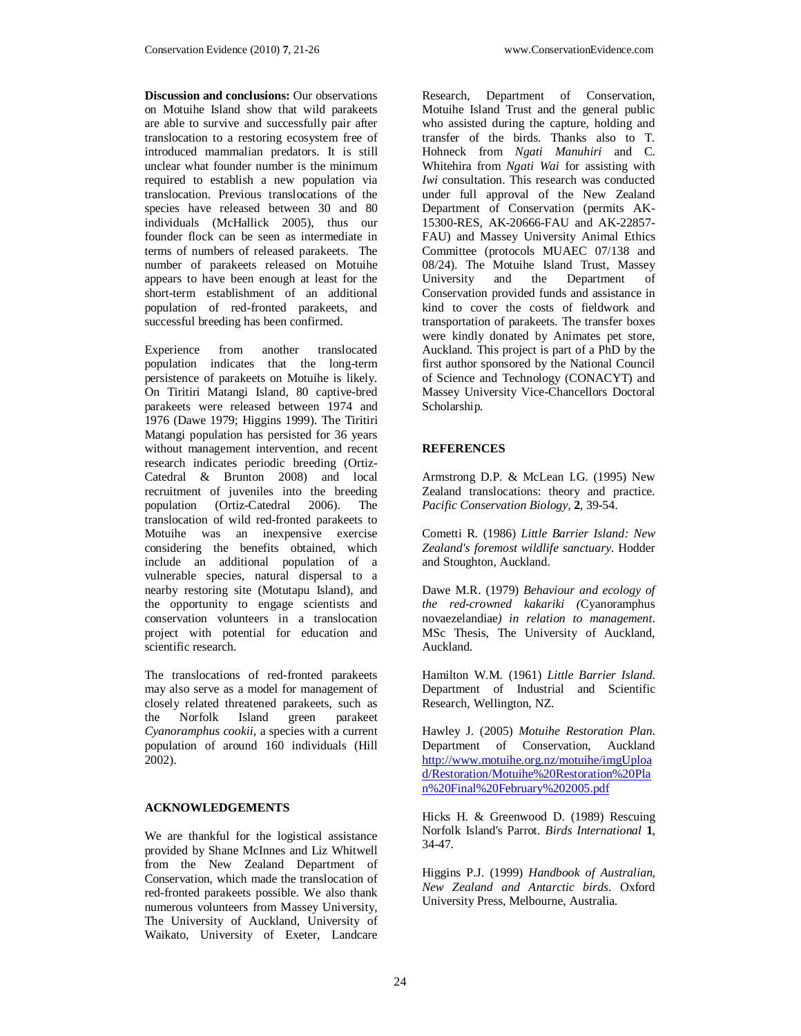**Discussion and conclusions:** Our observations on Motuihe Island show that wild parakeets are able to survive and successfully pair after translocation to a restoring ecosystem free of introduced mammalian predators. It is still unclear what founder number is the minimum required to establish a new population via translocation. Previous translocations of the species have released between 30 and 80 individuals (McHallick 2005), thus our founder flock can be seen as intermediate in terms of numbers of released parakeets. The number of parakeets released on Motuihe appears to have been enough at least for the short-term establishment of an additional population of red-fronted parakeets, and successful breeding has been confirmed.

Experience from another translocated population indicates that the long-term persistence of parakeets on Motuihe is likely. On Tiritiri Matangi Island, 80 captive-bred parakeets were released between 1974 and 1976 (Dawe 1979; Higgins 1999). The Tiritiri Matangi population has persisted for 36 years without management intervention, and recent research indicates periodic breeding (Ortiz-Catedral & Brunton 2008) and local recruitment of juveniles into the breeding population (Ortiz-Catedral 2006). The translocation of wild red-fronted parakeets to Motuihe was an inexpensive exercise considering the benefits obtained, which include an additional population of a vulnerable species, natural dispersal to a nearby restoring site (Motutapu Island), and the opportunity to engage scientists and conservation volunteers in a translocation project with potential for education and scientific research.

The translocations of red-fronted parakeets may also serve as a model for management of closely related threatened parakeets, such as<br>the Norfolk Island green parakeet the Norfolk Island *Cyanoramphus cookii*, a species with a current population of around 160 individuals (Hill 2002).

#### **ACKNOWLEDGEMENTS**

We are thankful for the logistical assistance provided by Shane McInnes and Liz Whitwell from the New Zealand Department of Conservation, which made the translocation of red-fronted parakeets possible. We also thank numerous volunteers from Massey University, The University of Auckland, University of Waikato, University of Exeter, Landcare

Research, Department of Conservation, Motuihe Island Trust and the general public who assisted during the capture, holding and transfer of the birds. Thanks also to T. Hohneck from *Ngati Manuhiri* and C. Whitehira from *Ngati Wai* for assisting with *Iwi* consultation. This research was conducted under full approval of the New Zealand Department of Conservation (permits AK-15300-RES, AK-20666-FAU and AK-22857- FAU) and Massey University Animal Ethics Committee (protocols MUAEC 07/138 and 08/24). The Motuihe Island Trust, Massey<br>University and the Department of Department of Conservation provided funds and assistance in kind to cover the costs of fieldwork and transportation of parakeets. The transfer boxes were kindly donated by Animates pet store, Auckland. This project is part of a PhD by the first author sponsored by the National Council of Science and Technology (CONACYT) and Massey University Vice-Chancellors Doctoral Scholarship.

## **REFERENCES**

Armstrong D.P. & McLean I.G. (1995) New Zealand translocations: theory and practice. *Pacific Conservation Biology,* **2**, 39-54.

Cometti R. (1986) *Little Barrier Island: New Zealand's foremost wildlife sanctuary*. Hodder and Stoughton, Auckland.

Dawe M.R. (1979) *Behaviour and ecology of the red-crowned kakariki (*Cyanoramphus novaezelandiae*) in relation to management*. MSc Thesis, The University of Auckland, Auckland.

Hamilton W.M. (1961) *Little Barrier Island*. Department of Industrial and Scientific Research, Wellington, NZ.

Hawley J. (2005) *Motuihe Restoration Plan*. Department of Conservation, Auckland http://www.motuihe.org.nz/motuihe/imgUploa d/Restoration/Motuihe%20Restoration%20Pla n%20Final%20February%202005.pdf

Hicks H. & Greenwood D. (1989) Rescuing Norfolk Island's Parrot. *Birds International* **1**, 34-47.

Higgins P.J. (1999) *Handbook of Australian, New Zealand and Antarctic birds*. Oxford University Press, Melbourne, Australia.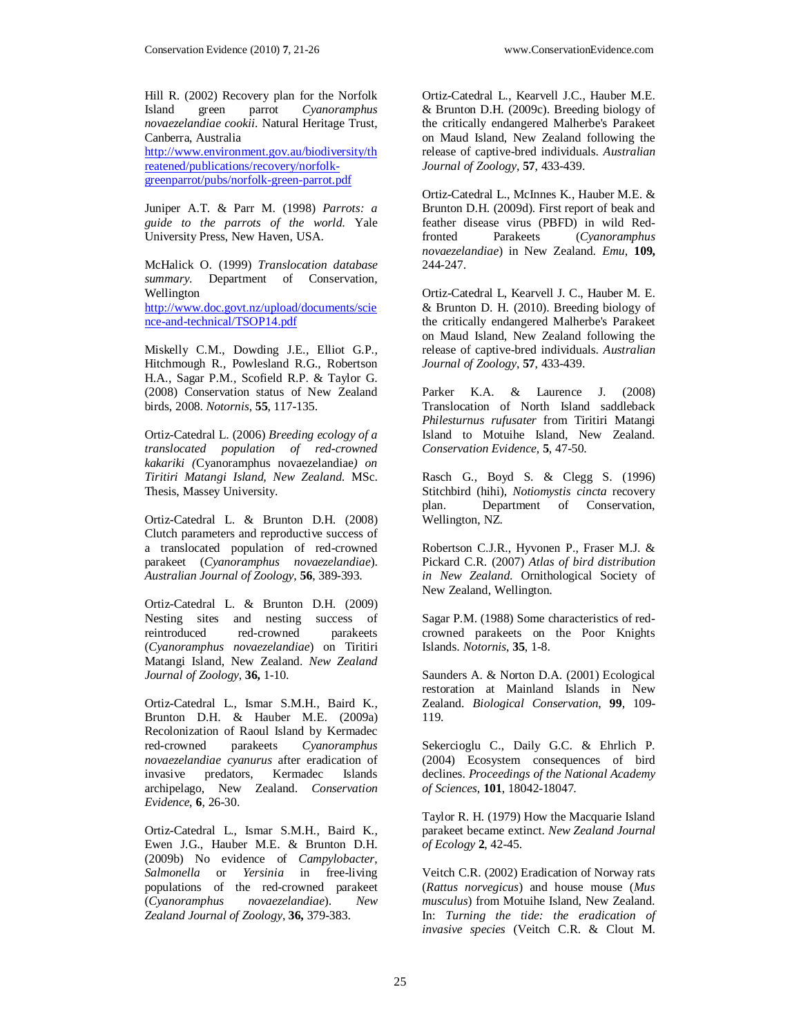Hill R. (2002) Recovery plan for the Norfolk Island green parrot *Cyanoramphus novaezelandiae cookii*. Natural Heritage Trust, Canberra, Australia http://www.environment.gov.au/biodiversity/th reatened/publications/recovery/norfolkgreenparrot/pubs/norfolk-green-parrot.pdf

Juniper A.T. & Parr M. (1998) *Parrots: a guide to the parrots of the world*. Yale University Press, New Haven, USA.

McHalick O. (1999) *Translocation database summary*. Department of Conservation, Wellington http://www.doc.govt.nz/upload/documents/scie nce-and-technical/TSOP14.pdf

Miskelly C.M., Dowding J.E., Elliot G.P., Hitchmough R., Powlesland R.G., Robertson H.A., Sagar P.M., Scofield R.P. & Taylor G. (2008) Conservation status of New Zealand birds, 2008. *Notornis*, **55**, 117-135.

Ortiz-Catedral L. (2006) *Breeding ecology of a translocated population of red-crowned kakariki (*Cyanoramphus novaezelandiae*) on Tiritiri Matangi Island, New Zealand*. MSc. Thesis, Massey University.

Ortiz-Catedral L. & Brunton D.H. (2008) Clutch parameters and reproductive success of a translocated population of red-crowned parakeet (*Cyanoramphus novaezelandiae*). *Australian Journal of Zoology*, **56**, 389-393.

Ortiz-Catedral L. & Brunton D.H. (2009) Nesting sites and nesting success of<br>reintroduced red-crowned parakeets reintroduced red-crowned (*Cyanoramphus novaezelandiae*) on Tiritiri Matangi Island, New Zealand. *New Zealand Journal of Zoology*, **36,** 1-10.

Ortiz-Catedral L., Ismar S.M.H., Baird K., Brunton D.H. & Hauber M.E. (2009a) Recolonization of Raoul Island by Kermadec red-crowned parakeets *Cyanoramphus novaezelandiae cyanurus* after eradication of invasive predators, Kermadec Islands archipelago, New Zealand. *Conservation Evidence*, **6**, 26-30.

Ortiz-Catedral L., Ismar S.M.H., Baird K., Ewen J.G., Hauber M.E. & Brunton D.H. (2009b) No evidence of *Campylobacter*, *Salmonella* or *Yersinia* in free-living populations of the red-crowned parakeet (*Cyanoramphus novaezelandiae*). *New Zealand Journal of Zoology*, **36,** 379-383.

Ortiz-Catedral L., Kearvell J.C., Hauber M.E. & Brunton D.H. (2009c). Breeding biology of the critically endangered Malherbe's Parakeet on Maud Island, New Zealand following the release of captive-bred individuals. *Australian Journal of Zoology*, **57**, 433-439.

Ortiz-Catedral L., McInnes K., Hauber M.E. & Brunton D.H. (2009d). First report of beak and feather disease virus (PBFD) in wild Red-<br>fronted Parakeets (Cyanoramphus fronted Parakeets (*Cyanoramphus novaezelandiae*) in New Zealand. *Emu*, **109,** 244-247.

Ortiz-Catedral L, Kearvell J. C., Hauber M. E. & Brunton D. H. (2010). Breeding biology of the critically endangered Malherbe's Parakeet on Maud Island, New Zealand following the release of captive-bred individuals. *Australian Journal of Zoology*, **57**, 433-439.

Parker K.A. & Laurence J. (2008) Translocation of North Island saddleback *Philesturnus rufusater* from Tiritiri Matangi Island to Motuihe Island, New Zealand. *Conservation Evidence*, **5**, 47-50.

Rasch G., Boyd S. & Clegg S. (1996) Stitchbird (hihi), *Notiomystis cincta* recovery plan. Department of Conservation, Department of Conservation, Wellington, NZ.

Robertson C.J.R., Hyvonen P., Fraser M.J. & Pickard C.R. (2007) *Atlas of bird distribution in New Zealand*. Ornithological Society of New Zealand, Wellington.

Sagar P.M. (1988) Some characteristics of redcrowned parakeets on the Poor Knights Islands. *Notornis*, **35**, 1-8.

Saunders A. & Norton D.A. (2001) Ecological restoration at Mainland Islands in New Zealand. *Biological Conservation*, **99**, 109- 119.

Sekercioglu C., Daily G.C. & Ehrlich P. (2004) Ecosystem consequences of bird declines. *Proceedings of the National Academy of Sciences*, **101**, 18042-18047.

Taylor R. H. (1979) How the Macquarie Island parakeet became extinct. *New Zealand Journal of Ecology* **2**, 42-45.

Veitch C.R. (2002) Eradication of Norway rats (*Rattus norvegicus*) and house mouse (*Mus musculus*) from Motuihe Island, New Zealand. In: *Turning the tide: the eradication of invasive species* (Veitch C.R. & Clout M.